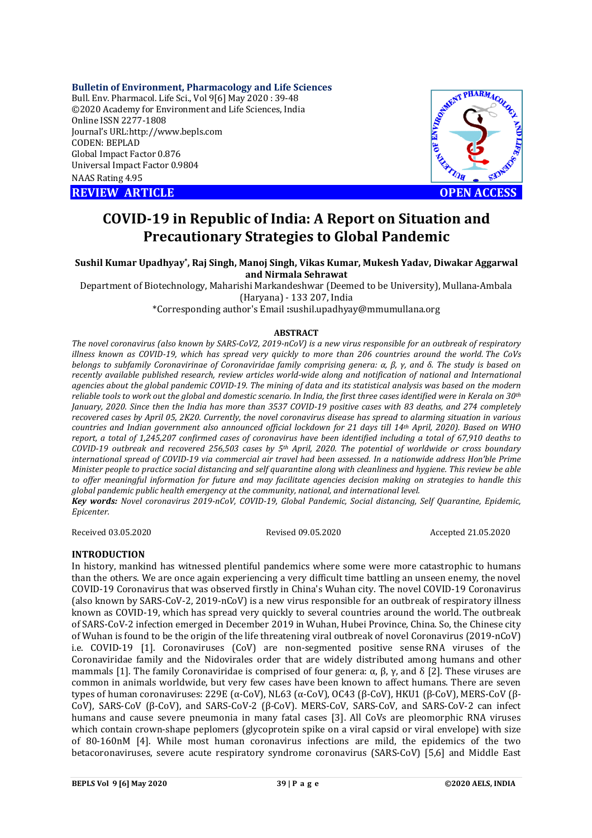## **Bulletin of Environment, Pharmacology and Life Sciences**

Bull. Env. Pharmacol. Life Sci., Vol 9[6] May 2020 : 39-48 ©2020 Academy for Environment and Life Sciences, India Online ISSN 2277-1808 Journal's URL:<http://www.bepls.com> CODEN: BEPLAD Global Impact Factor 0.876 Universal Impact Factor 0.9804 NAAS Rating 4.95

**REVIEW ARTICLE CONSUMING ARTICLE CONSUMING A REVIEW ARTICLE** 



# **COVID-19 in Republic of India: A Report on Situation and Precautionary Strategies to Global Pandemic**

**Sushil Kumar Upadhyay\* , Raj Singh, Manoj Singh, Vikas Kumar, Mukesh Yadav, Diwakar Aggarwal and Nirmala Sehrawat**

Department of Biotechnology, Maharishi Markandeshwar (Deemed to be University), Mullana-Ambala (Haryana) - 133 207, India

\*Corresponding author's Email **:**[sushil.upadhyay@mmumullana.org](mailto:sushil.upadhyay@mmumullana.org)

#### **ABSTRACT**

*The novel coronavirus (also known by SARS-CoV2, 2019-nCoV) is a new virus responsible for an outbreak of respiratory illness known as COVID-19, which has spread very quickly to more than 206 countries around the world. The CoVs belongs to subfamily Coronavirinae of Coronaviridae family comprising genera: α, β, γ, and δ. The study is based on recently available published research, review articles world-wide along and notification of national and International agencies about the global pandemic COVID-19. The mining of data and its statistical analysis was based on the modern reliable tools to work out the global and domestic scenario. In India, the first three cases identified were in Kerala on 30th January, 2020. Since then the India has more than 3537 COVID-19 positive cases with 83 deaths, and 274 completely recovered cases by April 05, 2K20. Currently, the novel coronavirus disease has spread to alarming situation in various countries and Indian government also announced official lockdown for 21 days till 14th April, 2020). Based on WHO report, a total of 1,245,207 confirmed cases of coronavirus have been identified including a total of 67,910 deaths to COVID-19 outbreak and recovered 256,503 cases by 5th April, 2020. The potential of worldwide or cross boundary international spread of COVID-19 via commercial air travel had been assessed. In a nationwide address Hon'ble Prime Minister people to practice social distancing and self quarantine along with cleanliness and hygiene. This review be able to offer meaningful information for future and may facilitate agencies decision making on strategies to handle this global pandemic public health emergency at the community, national, and international level.*

*Key words: Novel coronavirus 2019-nCoV, COVID-19, Global Pandemic, Social distancing, Self Quarantine, Epidemic, Epicenter.*

Received 03.05.2020 Revised 09.05.2020 Accepted 21.05.2020

## **INTRODUCTION**

In history, mankind has witnessed plentiful pandemics where some were more catastrophic to humans than the others. We are once again experiencing a very difficult time battling an unseen enemy, the novel COVID-19 Coronavirus that was observed firstly in China's Wuhan city. The novel COVID-19 Coronavirus (also known by SARS-CoV-2, 2019-nCoV) is a new virus responsible for an outbreak of respiratory illness known as COVID-19, which has spread very quickly to several countries around the world. The outbreak of SARS-CoV-2 infection emerged in December 2019 in Wuhan, Hubei Province, China. So, the Chinese city of Wuhan is found to be the origin of the life threatening viral outbreak of novel Coronavirus (2019-nCoV) i.e. COVID-19 [1]. Coronaviruses (CoV) are non-segmented positive sense RNA viruses of the Coronaviridae family and the Nidovirales order that are widely distributed among humans and other mammals [1]. The family Coronaviridae is comprised of four genera: α, β, γ, and δ [2]. These viruses are common in animals worldwide, but very few cases have been known to affect humans. There are seven types of human coronaviruses: 229E (α-CoV), NL63 (α-CoV), OC43 (β-CoV), HKU1 (β-CoV), MERS-CoV (β-CoV), SARS-CoV (β-CoV), and SARS-CoV-2 (β-CoV). MERS-CoV, SARS-CoV, and SARS-CoV-2 can infect humans and cause severe pneumonia in many fatal cases [3]. All CoVs are pleomorphic RNA viruses which contain crown-shape peplomers (glycoprotein spike on a viral capsid or viral envelope) with size of 80-160nM [4]. While most human coronavirus infections are mild, the epidemics of the two betacoronaviruses, severe acute respiratory syndrome coronavirus (SARS-CoV) [5,6] and Middle East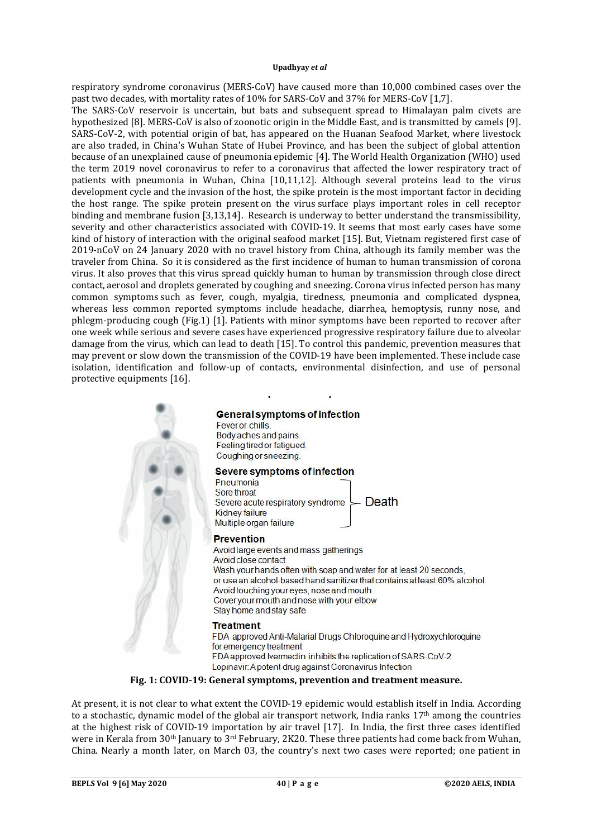respiratory syndrome coronavirus (MERS-CoV) have caused more than 10,000 combined cases over the past two decades, with mortality rates of 10% for SARS-CoV and 37% for MERS-CoV [1,7].

The SARS-CoV reservoir is uncertain, but bats and subsequent spread to Himalayan palm civets are hypothesized [8]. MERS-CoV is also of zoonotic origin in the Middle East, and is transmitted by camels [9]. SARS-CoV-2, with potential origin of bat, has appeared on the Huanan Seafood Market, where livestock are also traded, in China's Wuhan State of Hubei Province, and has been the subject of global attention because of an unexplained cause of pneumonia epidemic [4]. The World Health Organization (WHO) used the term 2019 novel coronavirus to refer to a coronavirus that affected the lower respiratory tract of patients with pneumonia in Wuhan, China [10,11,12]. Although several proteins lead to the virus development cycle and the invasion of the host, the spike protein is the most important factor in deciding the host range. The spike protein present on the virus surface plays important roles in cell receptor binding and membrane fusion [3,13,14]. Research is underway to better understand the transmissibility, severity and other characteristics associated with COVID-19. It seems that most early cases have some kind of history of interaction with the original seafood market [15]. But, Vietnam registered first case of 2019-nCoV on 24 January 2020 with no travel history from China, although its family member was the traveler from China. So it is considered as the first incidence of human to human transmission of corona virus. It also proves that this virus spread quickly human to human by transmission through close direct contact, aerosol and droplets generated by coughing and sneezing. Corona virus infected person has many common symptoms such as fever, cough, myalgia, tiredness, pneumonia and complicated dyspnea, whereas less common reported symptoms include headache, diarrhea, hemoptysis, runny nose, and phlegm-producing cough (Fig.1) [1]. Patients with minor symptoms have been reported to recover after one week while serious and severe cases have experienced progressive respiratory failure due to alveolar damage from the virus, which can lead to death [15]. To control this pandemic, prevention measures that may prevent or slow down the transmission of the COVID-19 have been implemented. These include case isolation, identification and follow-up of contacts, environmental disinfection, and use of personal protective equipments [16].



**Fig. 1: COVID-19: General symptoms, prevention and treatment measure.**

At present, it is not clear to what extent the COVID-19 epidemic would establish itself in India. According to a stochastic, dynamic model of the global air transport network, India ranks 17th among the countries at the highest risk of COVID-19 importation by air travel [17]. In India, the first three cases identified were in Kerala from 30<sup>th</sup> January to <sup>3rd</sup> February, 2K20. These three patients had come back from Wuhan, China. Nearly a month later, on March 03, the country's next two cases were reported; one patient in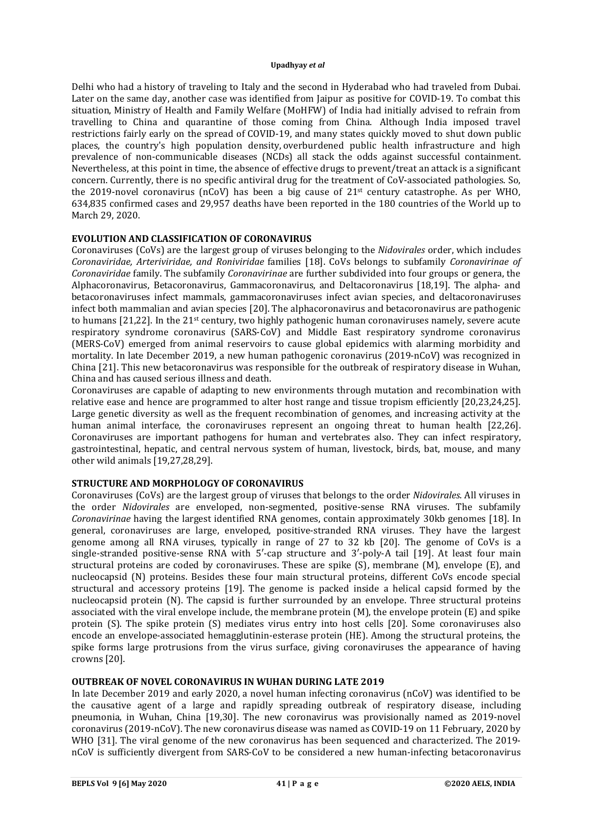Delhi who had a history of traveling to Italy and the second in Hyderabad who had traveled from Dubai. Later on the same day, another case was identified from Jaipur as positive for COVID-19. To combat this situation, Ministry of Health and Family Welfare (MoHFW) of India had initially advised to refrain from travelling to China and quarantine of those coming from China. Although India imposed travel restrictions fairly early on the spread of COVID-19, and many states quickly moved to shut down public places, the country's high population density, overburdened public health infrastructure and high prevalence of non-communicable diseases (NCDs) all stack the odds against successful containment. Nevertheless, at this point in time, the absence of effective drugs to prevent/treat an attack is a significant concern. Currently, there is no specific antiviral drug for the treatment of CoV-associated pathologies. So, the 2019-novel coronavirus (nCoV) has been a big cause of 21st century catastrophe. As per WHO, 634,835 confirmed cases and 29,957 deaths have been reported in the 180 countries of the World up to March 29, 2020.

# **EVOLUTION AND CLASSIFICATION OF CORONAVIRUS**

Coronaviruses (CoVs) are the largest group of viruses belonging to the *Nidovirales* order, which includes *Coronaviridae, Arteriviridae, and Roniviridae* families [18]. CoVs belongs to subfamily *Coronavirinae of Coronaviridae* family. The subfamily *Coronavirinae* are further subdivided into four groups or genera, the Alphacoronavirus, Betacoronavirus, Gammacoronavirus, and Deltacoronavirus [18,19]. The alpha- and betacoronaviruses infect mammals, gammacoronaviruses infect avian species, and deltacoronaviruses infect both mammalian and avian species [20]. The alphacoronavirus and betacoronavirus are pathogenic to humans [21,22]. In the 21st century, two highly pathogenic human coronaviruses namely, severe acute respiratory syndrome coronavirus (SARS-CoV) and Middle East respiratory syndrome coronavirus (MERS-CoV) emerged from animal reservoirs to cause global epidemics with alarming morbidity and mortality. In late December 2019, a new human pathogenic coronavirus (2019-nCoV) was recognized in China [21]. This new betacoronavirus was responsible for the outbreak of respiratory disease in Wuhan, China and has caused serious illness and death.

Coronaviruses are capable of adapting to new environments through mutation and recombination with relative ease and hence are programmed to alter host range and tissue tropism efficiently [20,23,24,25]. Large genetic diversity as well as the frequent recombination of genomes, and increasing activity at the human animal interface, the coronaviruses represent an ongoing threat to human health [22,26]. Coronaviruses are important pathogens for human and vertebrates also. They can infect respiratory, gastrointestinal, hepatic, and central nervous system of human, livestock, birds, bat, mouse, and many other wild animals [19,27,28,29].

# **STRUCTURE AND MORPHOLOGY OF CORONAVIRUS**

Coronaviruses (CoVs) are the largest group of viruses that belongs to the order *Nidovirales*. All viruses in the order *Nidovirales* are enveloped, non-segmented, positive-sense RNA viruses. The subfamily *Coronavirinae* having the largest identified RNA genomes, contain approximately 30kb genomes [18]. In general, coronaviruses are large, enveloped, positive-stranded RNA viruses. They have the largest genome among all RNA viruses, typically in range of 27 to 32 kb [20]. The genome of CoVs is a single-stranded positive-sense RNA with 5'-cap structure and 3'-poly-A tail [19]. At least four main structural proteins are coded by coronaviruses. These are spike (S), membrane (M), envelope (E), and nucleocapsid (N) proteins. Besides these four main structural proteins, different CoVs encode special structural and accessory proteins [19]. The genome is packed inside a helical capsid formed by the nucleocapsid protein (N). The capsid is further surrounded by an envelope. Three structural proteins associated with the viral envelope include, the membrane protein (M), the envelope protein (E) and spike protein (S). The spike protein (S) mediates virus entry into host cells [20]. Some coronaviruses also encode an envelope-associated hemagglutinin-esterase protein (HE). Among the structural proteins, the spike forms large protrusions from the virus surface, giving coronaviruses the appearance of having crowns [20].

# **OUTBREAK OF NOVEL CORONAVIRUS IN WUHAN DURING LATE 2019**

In late December 2019 and early 2020, a novel human infecting coronavirus (nCoV) was identified to be the causative agent of a large and rapidly spreading outbreak of respiratory disease, including pneumonia, in Wuhan, China [19,30]. The new coronavirus was provisionally named as 2019-novel coronavirus (2019-nCoV). The new coronavirus disease was named as COVID-19 on 11 February, 2020 by WHO [31]. The viral genome of the new coronavirus has been sequenced and characterized. The 2019 nCoV is sufficiently divergent from SARS-CoV to be considered a new human-infecting betacoronavirus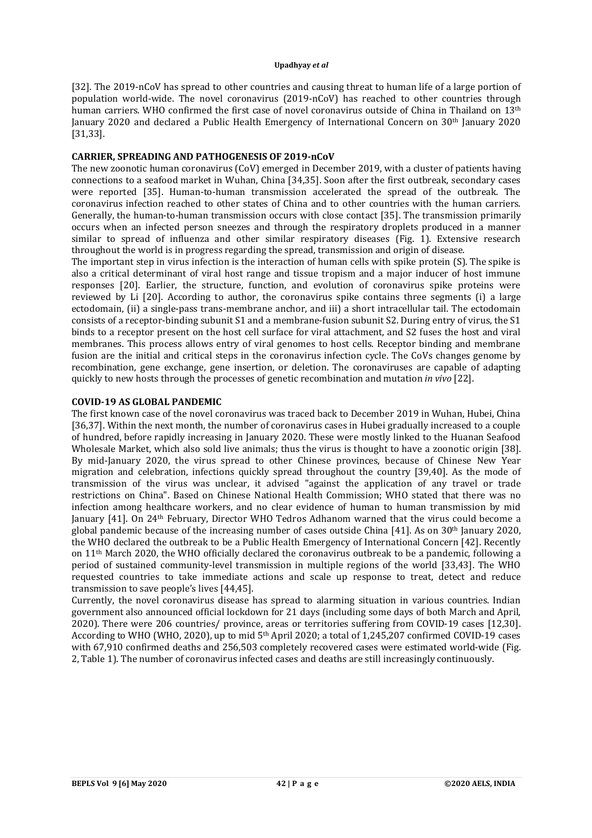[32]. The 2019-nCoV has spread to other countries and causing threat to human life of a large portion of population world-wide. The novel coronavirus (2019-nCoV) has reached to other countries through human carriers. WHO confirmed the first case of novel coronavirus outside of China in Thailand on 13<sup>th</sup> January 2020 and declared a Public Health Emergency of International Concern on 30th January 2020 [31,33].

## **CARRIER, SPREADING AND PATHOGENESIS OF 2019-nCoV**

The new zoonotic human coronavirus (CoV) emerged in December 2019, with a cluster of patients having connections to a seafood market in Wuhan, China [34,35]. Soon after the first outbreak, secondary cases were reported [35]. Human-to-human transmission accelerated the spread of the outbreak. The coronavirus infection reached to other states of China and to other countries with the human carriers. Generally, the human-to-human transmission occurs with close contact [35]. The transmission primarily occurs when an infected person sneezes and through the respiratory droplets produced in a manner similar to spread of influenza and other similar respiratory diseases (Fig. 1). Extensive research throughout the world is in progress regarding the spread, transmission and origin of disease.

The important step in virus infection is the interaction of human cells with spike protein (S). The spike is also a critical determinant of viral host range and tissue tropism and a major inducer of host immune responses [20]. Earlier, the structure, function, and evolution of coronavirus spike proteins were reviewed by Li [20]. According to author, the coronavirus spike contains three segments (i) a large ectodomain, (ii) a single-pass trans-membrane anchor, and iii) a short intracellular tail. The ectodomain consists of a receptor-binding subunit S1 and a membrane-fusion subunit S2. During entry of virus, the S1 binds to a receptor present on the host cell surface for viral attachment, and S2 fuses the host and viral membranes. This process allows entry of viral genomes to host cells. Receptor binding and membrane fusion are the initial and critical steps in the coronavirus infection cycle. The CoVs changes genome by recombination, gene exchange, gene insertion, or deletion. The coronaviruses are capable of adapting quickly to new hosts through the processes of genetic recombination and mutation *in vivo* [22].

## **COVID-19 AS GLOBAL PANDEMIC**

The first known case of the novel coronavirus was traced back to December 2019 in Wuhan, Hubei, China [36,37]. Within the next month, the number of coronavirus cases in Hubei gradually increased to a couple of hundred, before rapidly increasing in January 2020. These were mostly linked to the Huanan Seafood Wholesale Market, which also sold live animals; thus the virus is thought to have a zoonotic origin [38]. By mid-January 2020, the virus spread to other Chinese provinces, because of Chinese New Year migration and celebration, infections quickly spread throughout the country [39,40]. As the mode of transmission of the virus was unclear, it advised "against the application of any travel or trade restrictions on China". Based on Chinese National Health Commission; WHO stated that there was no infection among healthcare workers, and no clear evidence of human to human transmission by mid January [41]. On 24th February, Director WHO Tedros Adhanom warned that the virus could become a global pandemic because of the increasing number of cases outside China [41]. As on 30th January 2020, the WHO declared the outbreak to be a Public Health Emergency of International Concern [42]. Recently on  $11<sup>th</sup>$  March 2020, the WHO officially declared the coronavirus outbreak to be a pandemic, following a period of sustained community-level transmission in multiple regions of the world [33,43]. The WHO requested countries to take immediate actions and scale up response to treat, detect and reduce transmission to save people's lives [44,45].

Currently, the novel coronavirus disease has spread to alarming situation in various countries. Indian government also announced official lockdown for 21 days (including some days of both March and April, 2020). There were 206 countries/ province, areas or territories suffering from COVID-19 cases [12,30]. According to WHO (WHO, 2020), up to mid 5<sup>th</sup> April 2020; a total of 1,245,207 confirmed COVID-19 cases with 67,910 confirmed deaths and 256,503 completely recovered cases were estimated world-wide (Fig. 2, Table 1). The number of coronavirus infected cases and deaths are still increasingly continuously.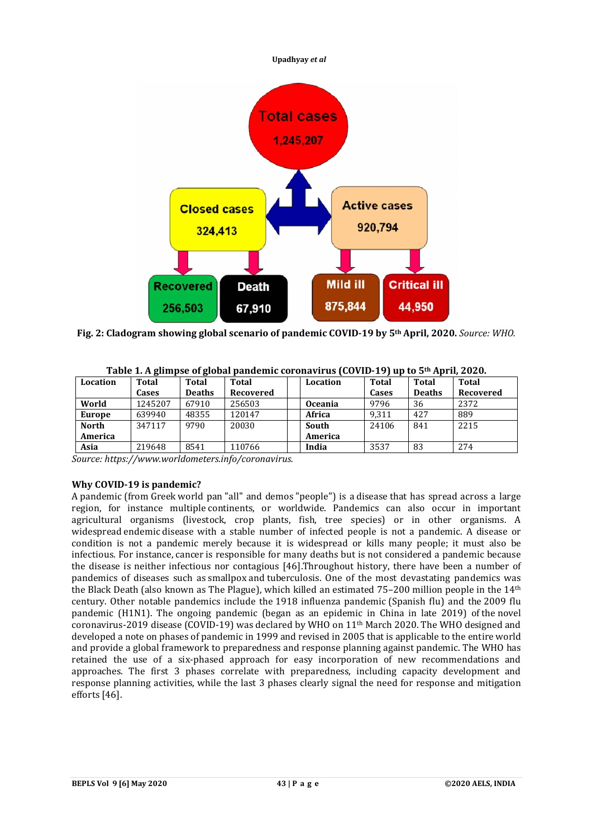

**Fig. 2: Cladogram showing global scenario of pandemic COVID-19 by 5th April, 2020.** *Source: WHO.*

| Location     | . .<br>Total | . .<br>Total  | <b>Total</b> | Location       | <b>Total</b> | <b>Total</b>  | Total     |
|--------------|--------------|---------------|--------------|----------------|--------------|---------------|-----------|
|              | Cases        | <b>Deaths</b> | Recovered    |                | Cases        | <b>Deaths</b> | Recovered |
| World        | 1245207      | 67910         | 256503       | <b>Oceania</b> | 9796         | 36            | 2372      |
| Europe       | 639940       | 48355         | 120147       | Africa         | 9.311        | 427           | 889       |
| <b>North</b> | 347117       | 9790          | 20030        | South          | 24106        | 841           | 2215      |
| America      |              |               |              | America        |              |               |           |
| Asia         | 219648       | 8541          | 110766       | India          | 3537         | 83            | 274       |

| Table 1. A glimpse of global pandemic coronavirus (COVID-19) up to 5 <sup>th</sup> April, 2020. |  |  |  |
|-------------------------------------------------------------------------------------------------|--|--|--|
|-------------------------------------------------------------------------------------------------|--|--|--|

*Source:<https://www.worldometers.info/coronavirus.>*

# **Why COVID-19 is pandemic?**

A pandemic (from Greek world pan "all" and demos "people") is a disease that has spread across a large region, for instance multiple continents, or worldwide. Pandemics can also occur in important agricultural organisms (livestock, crop plants, fish, tree species) or in other organisms. A widespread endemic disease with a stable number of infected people is not a pandemic. A disease or condition is not a pandemic merely because it is widespread or kills many people; it must also be infectious. For instance, cancer is responsible for many deaths but is not considered a pandemic because the disease is neither infectious nor contagious [46].Throughout history, there have been a number of pandemics of diseases such as smallpox and tuberculosis. One of the most devastating pandemics was the Black Death (also known as The Plague), which killed an estimated  $75-200$  million people in the  $14<sup>th</sup>$ century. Other notable pandemics include the 1918 influenza pandemic (Spanish flu) and the 2009 flu pandemic (H1N1). The ongoing pandemic (began as an epidemic in China in late 2019) of the novel coronavirus-2019 disease (COVID-19) was declared by WHO on 11th March 2020. The WHO designed and developed a note on phases of pandemic in 1999 and revised in 2005 that is applicable to the entire world and provide a global framework to preparedness and response planning against pandemic. The WHO has retained the use of a six-phased approach for easy incorporation of new recommendations and approaches. The first 3 phases correlate with preparedness, including capacity development and response planning activities, while the last 3 phases clearly signal the need for response and mitigation efforts [46].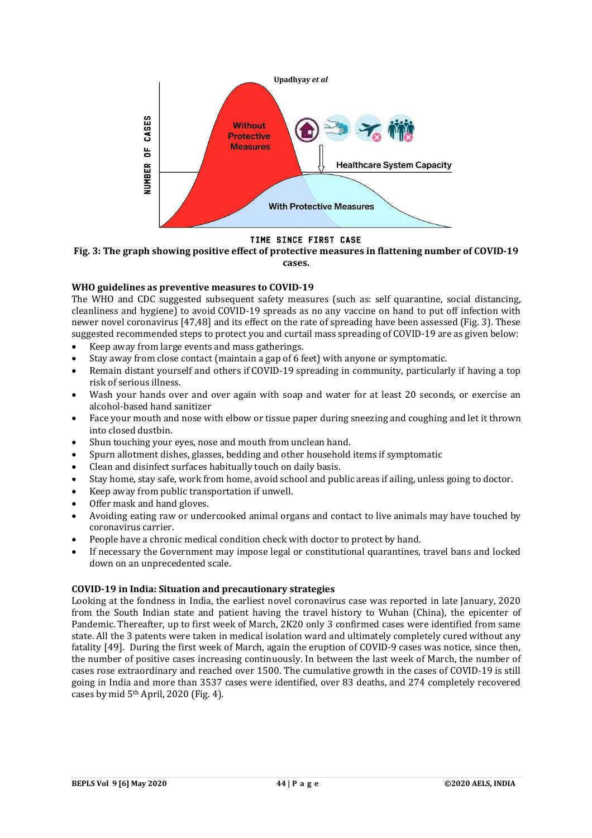

## TIME SINCE FIRST CASE

**Fig. 3: The graph showing positive effect of protective measures in flattening number of COVID-19 cases.**

## **WHO guidelines as preventive measures to COVID-19**

The WHO and CDC suggested subsequent safety measures (such as: self quarantine, social distancing, cleanliness and hygiene) to avoid COVID-19 spreads as no any vaccine on hand to put off infection with newer novel coronavirus [47,48] and its effect on the rate of spreading have been assessed (Fig. 3). These suggested recommended steps to protect you and curtail mass spreading of COVID-19 are as given below:

- Keep away from large events and mass gatherings.
- Stay away from close contact (maintain a gap of 6 feet) with anyone or symptomatic.
- Remain distant yourself and others if COVID-19 spreading in community, particularly if having a top risk of serious illness.
- Wash your hands over and over again with soap and water for at least 20 seconds, or exercise an alcohol-based hand sanitizer
- Face your mouth and nose with elbow or tissue paper during sneezing and coughing and let it thrown into closed dustbin.
- Shun touching your eyes, nose and mouth from unclean hand.
- Spurn allotment dishes, glasses, bedding and other household items if symptomatic
- Clean and disinfect surfaces habitually touch on daily basis.
- Stay home, stay safe, work from home, avoid school and public areas if ailing, unless going to doctor.
- Keep away from public transportation if unwell.
- Offer mask and hand gloves.
- Avoiding eating raw or undercooked animal organs and contact to live animals may have touched by coronavirus carrier.
- People have a chronic medical condition check with doctor to protect by hand.
- If necessary the Government may impose legal or constitutional quarantines, travel bans and locked down on an unprecedented scale.

## **COVID-19 in India: Situation and precautionary strategies**

Looking at the fondness in India, the earliest novel coronavirus case was reported in late January, 2020 from the South Indian state and patient having the travel history to Wuhan (China), the epicenter of Pandemic. Thereafter, up to first week of March, 2K20 only 3 confirmed cases were identified from same state. All the 3 patents were taken in medical isolation ward and ultimately completely cured without any fatality [49]. During the first week of March, again the eruption of COVID-9 cases was notice, since then, the number of positive cases increasing continuously. In between the last week of March, the number of cases rose extraordinary and reached over 1500. The cumulative growth in the cases of COVID-19 is still going in India and more than 3537 cases were identified, over 83 deaths, and 274 completely recovered cases by mid  $5<sup>th</sup>$  April, 2020 (Fig. 4).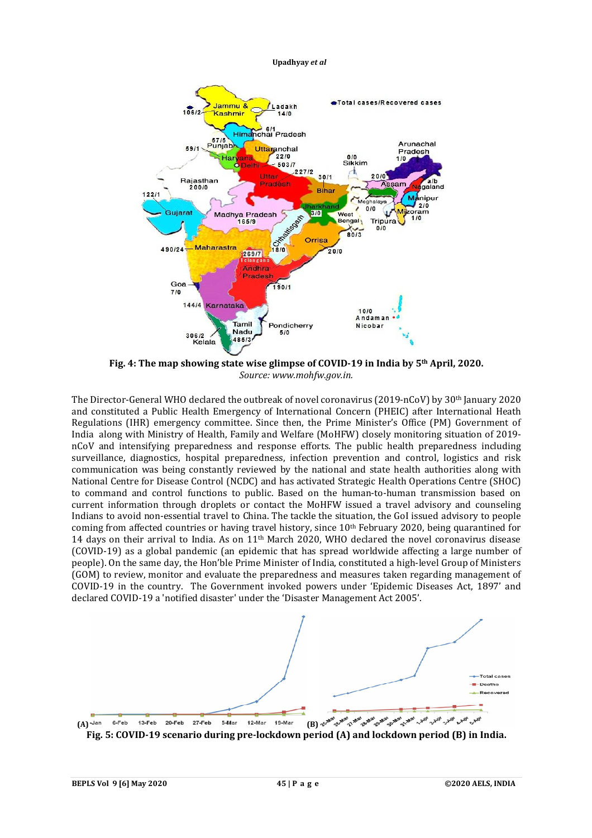

**Fig. 4: The map showing state wise glimpse of COVID-19 in India by 5th April, 2020.** *Source: [www.mohfw.gov.in.](http://www.mohfw.gov.in.)*

The Director-General WHO declared the outbreak of novel coronavirus (2019-nCoV) by 30th January 2020 and constituted a Public Health Emergency of International Concern (PHEIC) after International Heath Regulations (IHR) emergency committee. Since then, the Prime Minister's Office (PM) Government of India along with Ministry of Health, Family and Welfare (MoHFW) closely monitoring situation of 2019 nCoV and intensifying preparedness and response efforts. The public health preparedness including surveillance, diagnostics, hospital preparedness, infection prevention and control, logistics and risk communication was being constantly reviewed by the national and state health authorities along with National Centre for Disease Control (NCDC) and has activated Strategic Health Operations Centre (SHOC) to command and control functions to public. Based on the human-to-human transmission based on current information through droplets or contact the MoHFW issued a travel advisory and counseling Indians to avoid non-essential travel to China. The tackle the situation, the GoI issued advisory to people coming from affected countries or having travel history, since 10<sup>th</sup> February 2020, being quarantined for 14 days on their arrival to India. As on 11th March 2020, WHO declared the novel coronavirus disease (COVID-19) as a global pandemic (an epidemic that has spread worldwide affecting a large number of people). On the same day, the Hon'ble Prime Minister of India, constituted a high-level Group of Ministers (GOM) to review, monitor and evaluate the preparedness and measures taken regarding management of COVID-19 in the country. The Government invoked powers under 'Epidemic Diseases Act, 1897' and declared COVID-19 a 'notified disaster' under the 'Disaster Management Act 2005'.



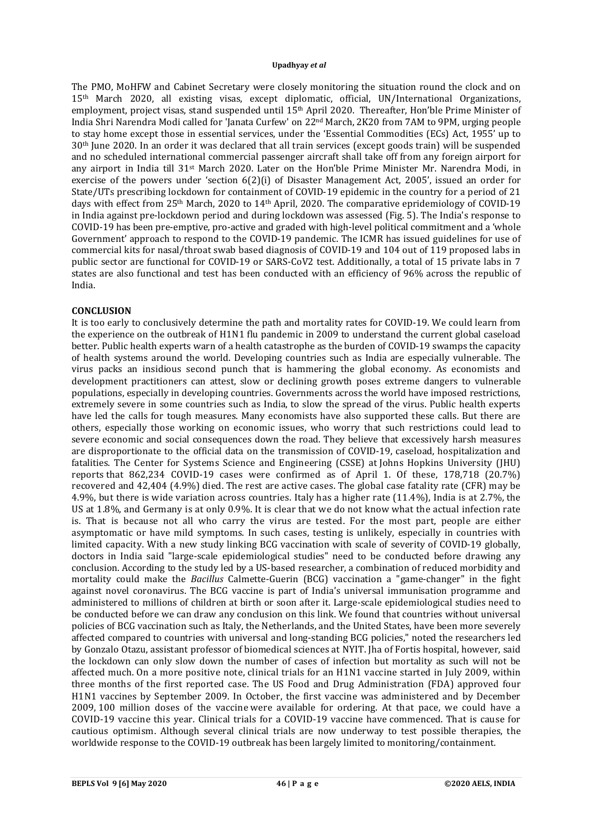The PMO, MoHFW and Cabinet Secretary were closely monitoring the situation round the clock and on 15th March 2020, all existing visas, except diplomatic, official, UN/International Organizations, employment, project visas, stand suspended until 15th April 2020. Thereafter, Hon'ble Prime Minister of India Shri Narendra Modi called for 'Janata Curfew' on 22nd March, 2K20 from 7AM to 9PM, urging people to stay home except those in essential services, under the 'Essential Commodities (ECs) Act, 1955' up to 30th June 2020. In an order it was declared that all train services (except goods train) will be suspended and no scheduled international commercial passenger aircraft shall take off from any foreign airport for any airport in India till 31st March 2020. Later on the Hon'ble Prime Minister Mr. Narendra Modi, in exercise of the powers under 'section 6(2)(i) of Disaster Management Act, 2005', issued an order for State/UTs prescribing lockdown for containment of COVID-19 epidemic in the country for a period of 21 days with effect from 25th March, 2020 to 14th April, 2020. The comparative epridemiology of COVID-19 in India against pre-lockdown period and during lockdown was assessed (Fig. 5). The India's response to COVID-19 has been pre-emptive, pro-active and graded with high-level political commitment and a 'whole Government' approach to respond to the COVID-19 pandemic. The ICMR has issued guidelines for use of commercial kits for nasal/throat swab based diagnosis of COVID-19 and 104 out of 119 proposed labs in public sector are functional for COVID-19 or SARS-CoV2 test. Additionally, a total of 15 private labs in 7 states are also functional and test has been conducted with an efficiency of 96% across the republic of India.

#### **CONCLUSION**

It is too early to conclusively determine the path and mortality rates for COVID-19. We could learn from the experience on the outbreak of H1N1 flu pandemic in 2009 to understand the current global caseload better. Public health experts warn of a health catastrophe as the burden of COVID-19 swamps the capacity of health systems around the world. Developing countries such as India are especially vulnerable. The virus packs an insidious second punch that is hammering the global economy. As economists and development practitioners can attest, slow or declining growth poses extreme dangers to vulnerable populations, especially in developing countries. Governments across the world have imposed restrictions, extremely severe in some countries such as India, to slow the spread of the virus. Public health experts have led the calls for tough measures. Many economists have also supported these calls. But there are others, especially those working on economic issues, who worry that such restrictions could lead to severe economic and social consequences down the road. They believe that excessively harsh measures are disproportionate to the official data on the transmission of COVID-19, caseload, hospitalization and fatalities. The Center for Systems Science and Engineering (CSSE) at Johns Hopkins University (JHU) reports that 862,234 COVID-19 cases were confirmed as of April 1. Of these, 178,718 (20.7%) recovered and 42,404 (4.9%) died. The rest are active cases. The global case fatality rate (CFR) may be 4.9%, but there is wide variation across countries. Italy has a higher rate (11.4%), India is at 2.7%, the US at 1.8%, and Germany is at only 0.9%. It is clear that we do not know what the actual infection rate is. That is because not all who carry the virus are tested. For the most part, people are either asymptomatic or have mild symptoms. In such cases, testing is unlikely, especially in countries with limited capacity. With a new study linking BCG vaccination with scale of severity of COVID-19 globally, doctors in India said "large-scale epidemiological studies" need to be conducted before drawing any conclusion. According to the study led by a US-based researcher, a combination of reduced morbidity and mortality could make the *Bacillus* Calmette-Guerin (BCG) vaccination a "game-changer" in the fight against novel coronavirus. The BCG vaccine is part of India's universal immunisation programme and administered to millions of children at birth or soon after it. Large-scale epidemiological studies need to be conducted before we can draw any conclusion on this link. We found that countries without universal policies of BCG vaccination such as Italy, the Netherlands, and the United States, have been more severely affected compared to countries with universal and long-standing BCG policies," noted the researchers led by Gonzalo Otazu, assistant professor of biomedical sciences at NYIT. Jha of Fortis hospital, however, said the lockdown can only slow down the number of cases of infection but mortality as such will not be affected much. On a more positive note, clinical trials for an H1N1 vaccine started in July 2009, within three months of the first reported case. The US Food and Drug Administration (FDA) approved four H1N1 vaccines by September 2009. In October, the first vaccine was administered and by December 2009, 100 million doses of the vaccine were available for ordering. At that pace, we could have a COVID-19 vaccine this year. Clinical trials for a COVID-19 vaccine have commenced. That is cause for cautious optimism. Although several clinical trials are now underway to test possible therapies, the worldwide response to the COVID-19 outbreak has been largely limited to monitoring/containment.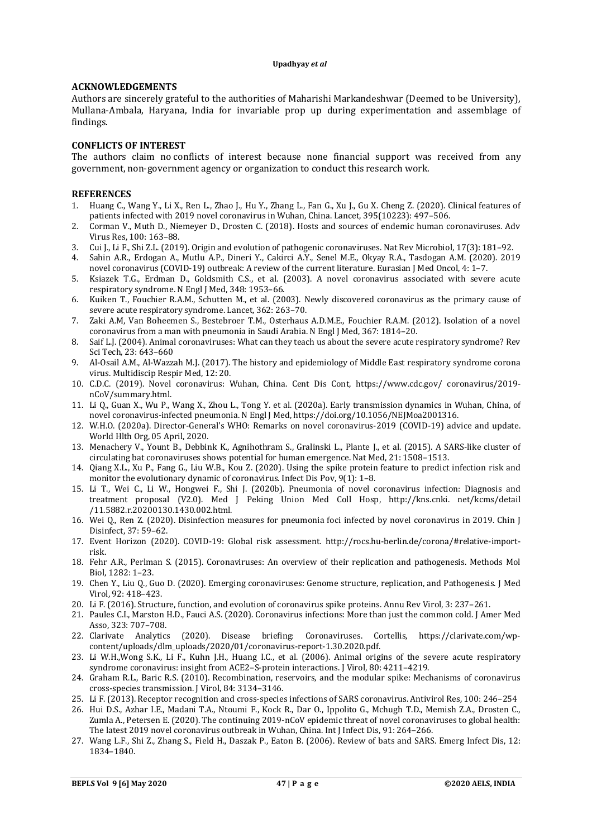## **ACKNOWLEDGEMENTS**

Authors are sincerely grateful to the authorities of Maharishi Markandeshwar (Deemed to be University), Mullana-Ambala, Haryana, India for invariable prop up during experimentation and assemblage of findings.

## **CONFLICTS OF INTEREST**

The authors claim no conflicts of interest because none financial support was received from any government, non-government agency or organization to conduct this research work.

## **REFERENCES**

- 1. Huang C., Wang Y., Li X., Ren L., Zhao J., Hu Y., Zhang L., Fan G., Xu J., Gu X. Cheng Z. (2020). Clinical features of patients infected with 2019 novel coronavirus in Wuhan, China. Lancet, 395(10223): 497–506.
- 2. Corman V., Muth D., Niemeyer D., Drosten C. (2018). Hosts and sources of endemic human coronaviruses. Adv Virus Res, 100: 163–88.
- 3. Cui J., Li F., Shi Z.L. (2019). Origin and evolution of pathogenic coronaviruses. Nat Rev Microbiol, 17(3): 181–92.
- 4. Sahin A.R., Erdogan A., Mutlu A.P., Dineri Y., Cakirci A.Y., Senel M.E., Okyay R.A., Tasdogan A.M. (2020). 2019 novel coronavirus (COVID-19) outbreak: A review of the current literature. Eurasian J Med Oncol, 4: 1–7.
- 5. Ksiazek T.G., Erdman D., Goldsmith C.S., et al. (2003). A novel coronavirus associated with severe acute respiratory syndrome. N Engl J Med, 348: 1953–66.
- 6. Kuiken T., Fouchier R.A.M., Schutten M., et al. (2003). Newly discovered coronavirus as the primary cause of severe acute respiratory syndrome. Lancet, 362: 263–70.
- 7. Zaki A.M, Van Boheemen S., Bestebroer T.M., Osterhaus A.D.M.E., Fouchier R.A.M. (2012). Isolation of a novel coronavirus from a man with pneumonia in Saudi Arabia. N Engl J Med, 367: 1814–20.
- 8. Saif L.J. (2004). Animal coronaviruses: What can they teach us about the severe acute respiratory syndrome? Rev Sci Tech, 23: 643–660
- 9. Al-Osail A.M., Al-Wazzah M.J. (2017). The history and epidemiology of Middle East respiratory syndrome corona virus. Multidiscip Respir Med, 12: 20.
- 10. C.D.C. (2019). Novel coronavirus: Wuhan, China. Cent Dis Cont, <https://www.cdc.gov/>coronavirus/2019 nCoV/summary.html.
- 11. Li Q., Guan X., Wu P., Wang X., Zhou L., Tong Y. et al. (2020a). Early transmission dynamics in Wuhan, China, of novel coronavirus-infected pneumonia. N Engl J Med,<https://doi.org/10.1056/NEJMoa2001316.>
- 12. W.H.O. (2020a). Director-General's WHO: Remarks on novel coronavirus-2019 (COVID-19) advice and update. World Hlth Org, 05 April, 2020.
- 13. Menachery V., Yount B., Debbink K., Agnihothram S., Gralinski L., Plante J., et al. (2015). A SARS-like cluster of circulating bat coronaviruses shows potential for human emergence. Nat Med, 21: 1508–1513.
- 14. Qiang X.L., Xu P., Fang G., Liu W.B., Kou Z. (2020). Using the spike protein feature to predict infection risk and monitor the evolutionary dynamic of coronavirus. Infect Dis Pov, 9(1): 1–8.
- 15. Li T., Wei C., Li W., Hongwei F., Shi J. (2020b). Pneumonia of novel coronavirus infection: Diagnosis and treatment proposal (V2.0). Med J Peking Union Med Coll Hosp, <http://kns.cnki.> net/kcms/detail /11.5882.r.20200130.1430.002.html.
- 16. Wei Q., Ren Z. (2020). Disinfection measures for pneumonia foci infected by novel coronavirus in 2019. Chin J Disinfect, 37: 59–62.
- 17. Event Horizon (2020). COVID-19: Global risk assessment. [http://rocs.hu-berlin.de/corona/#relative-import](http://rocs.hu-berlin.de/corona/#relative-import-)risk.
- 18. Fehr A.R., Perlman S. (2015). Coronaviruses: An overview of their replication and pathogenesis. Methods Mol Biol, 1282: 1–23.
- 19. Chen Y., Liu Q., Guo D. (2020). Emerging coronaviruses: Genome structure, replication, and Pathogenesis. J Med Virol, 92: 418–423.
- 20. Li F. (2016). Structure, function, and evolution of coronavirus spike proteins. Annu Rev Virol, 3: 237–261.
- 21. Paules C.I., Marston H.D., Fauci A.S. (2020). Coronavirus infections: More than just the common cold. J Amer Med Asso, 323: 707–708.
- 22. Clarivate Analytics (2020). Disease briefing: Coronaviruses. Cortellis, [https://clarivate.com/wp](https://clarivate.com/wp-)content/uploads/dlm\_uploads/2020/01/coronavirus-report-1.30.2020.pdf.
- 23. Li W.H.,Wong S.K., Li F., Kuhn J.H., Huang I.C., et al. (2006). Animal origins of the severe acute respiratory syndrome coronavirus: insight from ACE2–S-protein interactions. J Virol, 80: 4211–4219.
- 24. Graham R.L., Baric R.S. (2010). Recombination, reservoirs, and the modular spike: Mechanisms of coronavirus cross-species transmission. J Virol, 84: 3134–3146.
- 25. Li F. (2013). Receptor recognition and cross-species infections of SARS coronavirus. Antivirol Res, 100: 246–254
- 26. Hui D.S., Azhar I.E., Madani T.A., Ntoumi F., Kock R., Dar O., Ippolito G., Mchugh T.D., Memish Z.A., Drosten C., Zumla A., Petersen E. (2020). The continuing 2019-nCoV epidemic threat of novel coronaviruses to global health: The latest 2019 novel coronavirus outbreak in Wuhan, China. Int J Infect Dis, 91: 264–266.
- 27. Wang L.F., Shi Z., Zhang S., Field H., Daszak P., Eaton B. (2006). Review of bats and SARS. Emerg Infect Dis, 12: 1834–1840.